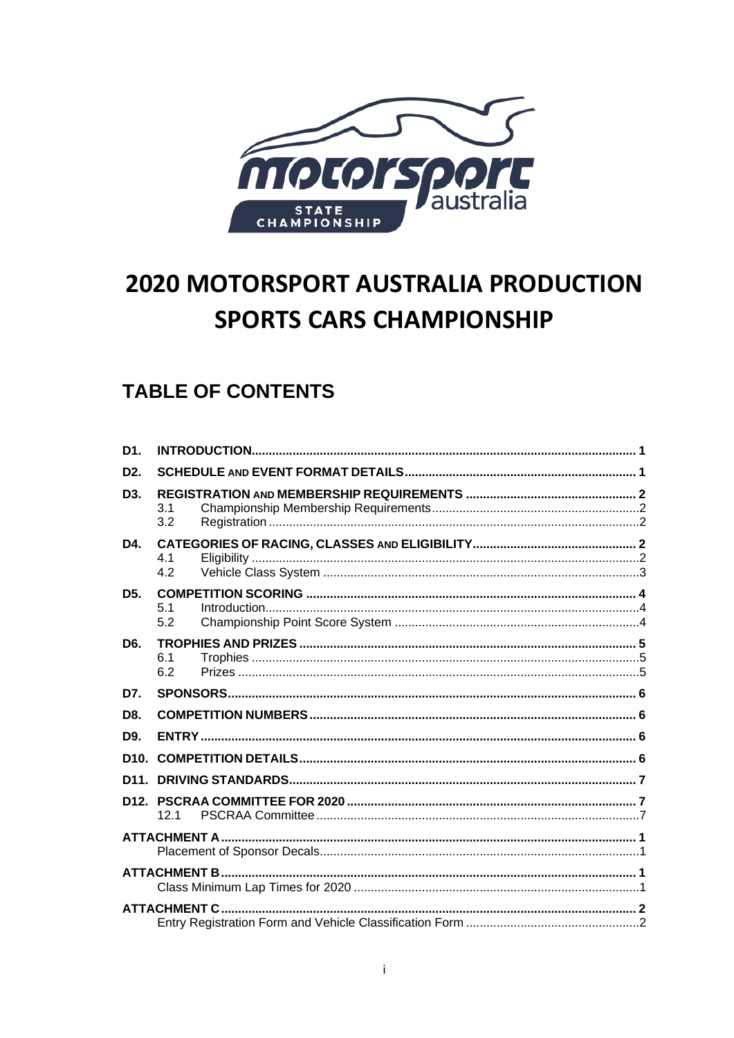

# **2020 MOTORSPORT AUSTRALIA PRODUCTION SPORTS CARS CHAMPIONSHIP**

## **TABLE OF CONTENTS**

| D <sub>1</sub>   |                     |  |
|------------------|---------------------|--|
| D <sub>2</sub>   |                     |  |
| D <sub>3</sub> . | 3.1<br>3.2          |  |
| D4.              | 4.1<br>4.2          |  |
| D <sub>5</sub> . | 5.1<br>5.2          |  |
| D <sub>6</sub> . | 6.1<br>6.2          |  |
| D7.              |                     |  |
| D8.              |                     |  |
| D9.              |                     |  |
| D <sub>10</sub>  |                     |  |
| D <sub>11</sub>  |                     |  |
| D <sub>12</sub>  | 121                 |  |
|                  |                     |  |
|                  |                     |  |
|                  | <b>ATTACHMENT C</b> |  |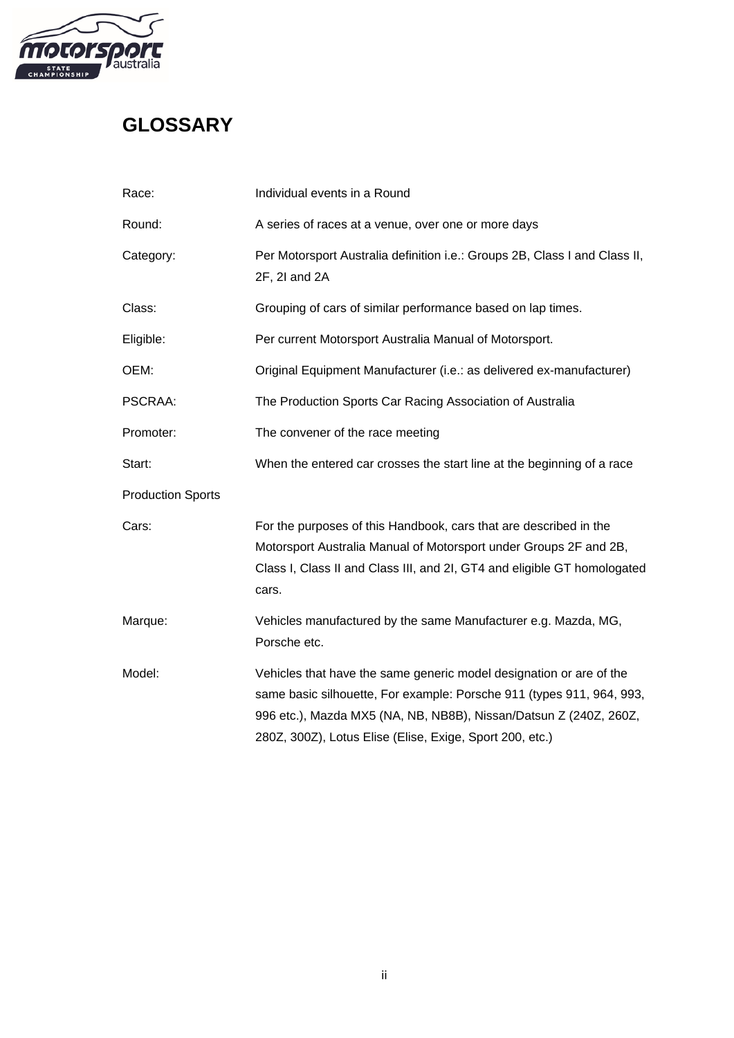

## **GLOSSARY**

| Race:                    | Individual events in a Round                                                                                                                                                                                                                                                  |  |  |  |  |
|--------------------------|-------------------------------------------------------------------------------------------------------------------------------------------------------------------------------------------------------------------------------------------------------------------------------|--|--|--|--|
| Round:                   | A series of races at a venue, over one or more days                                                                                                                                                                                                                           |  |  |  |  |
| Category:                | Per Motorsport Australia definition i.e.: Groups 2B, Class I and Class II,<br>2F, 2I and 2A                                                                                                                                                                                   |  |  |  |  |
| Class:                   | Grouping of cars of similar performance based on lap times.                                                                                                                                                                                                                   |  |  |  |  |
| Eligible:                | Per current Motorsport Australia Manual of Motorsport.                                                                                                                                                                                                                        |  |  |  |  |
| OEM:                     | Original Equipment Manufacturer (i.e.: as delivered ex-manufacturer)                                                                                                                                                                                                          |  |  |  |  |
| PSCRAA:                  | The Production Sports Car Racing Association of Australia                                                                                                                                                                                                                     |  |  |  |  |
| Promoter:                | The convener of the race meeting                                                                                                                                                                                                                                              |  |  |  |  |
| Start:                   | When the entered car crosses the start line at the beginning of a race                                                                                                                                                                                                        |  |  |  |  |
| <b>Production Sports</b> |                                                                                                                                                                                                                                                                               |  |  |  |  |
| Cars:                    | For the purposes of this Handbook, cars that are described in the<br>Motorsport Australia Manual of Motorsport under Groups 2F and 2B,<br>Class I, Class II and Class III, and 2I, GT4 and eligible GT homologated<br>cars.                                                   |  |  |  |  |
| Marque:                  | Vehicles manufactured by the same Manufacturer e.g. Mazda, MG,<br>Porsche etc.                                                                                                                                                                                                |  |  |  |  |
| Model:                   | Vehicles that have the same generic model designation or are of the<br>same basic silhouette, For example: Porsche 911 (types 911, 964, 993,<br>996 etc.), Mazda MX5 (NA, NB, NB8B), Nissan/Datsun Z (240Z, 260Z,<br>280Z, 300Z), Lotus Elise (Elise, Exige, Sport 200, etc.) |  |  |  |  |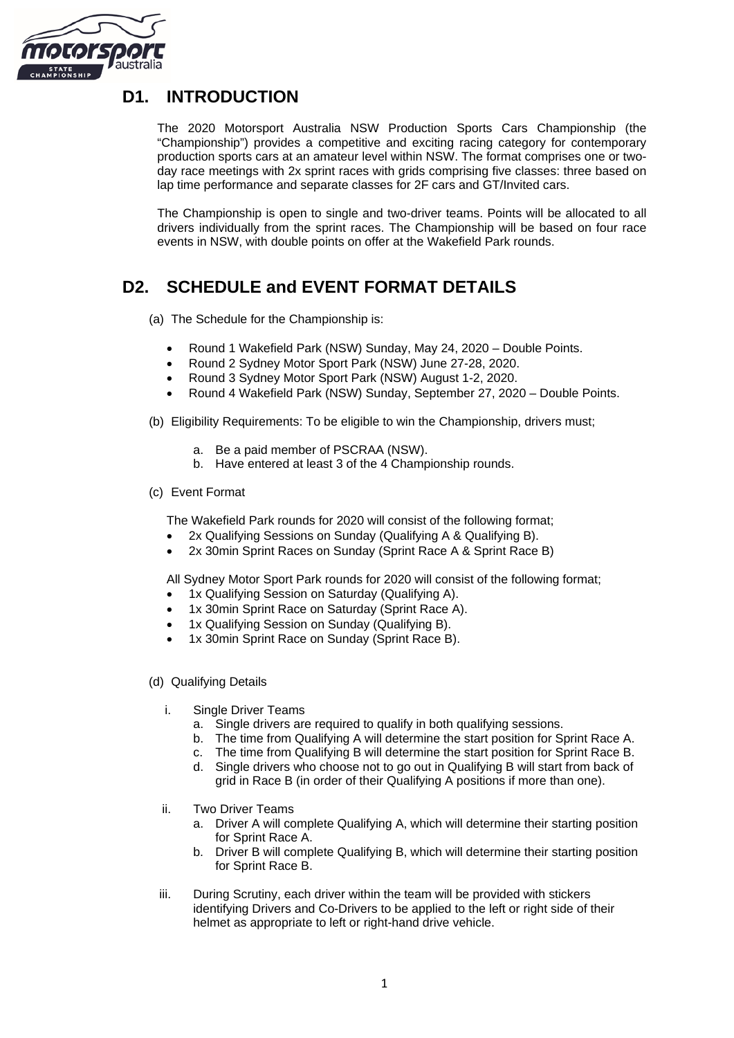

## <span id="page-2-0"></span>**D1. INTRODUCTION**

The 2020 Motorsport Australia NSW Production Sports Cars Championship (the "Championship") provides a competitive and exciting racing category for contemporary production sports cars at an amateur level within NSW. The format comprises one or twoday race meetings with 2x sprint races with grids comprising five classes: three based on lap time performance and separate classes for 2F cars and GT/Invited cars.

The Championship is open to single and two-driver teams. Points will be allocated to all drivers individually from the sprint races. The Championship will be based on four race events in NSW, with double points on offer at the Wakefield Park rounds.

## <span id="page-2-1"></span>**D2. SCHEDULE and EVENT FORMAT DETAILS**

(a) The Schedule for the Championship is:

- Round 1 Wakefield Park (NSW) Sunday, May 24, 2020 Double Points.
- Round 2 Sydney Motor Sport Park (NSW) June 27-28, 2020.
- Round 3 Sydney Motor Sport Park (NSW) August 1-2, 2020.
- Round 4 Wakefield Park (NSW) Sunday, September 27, 2020 Double Points.

(b) Eligibility Requirements: To be eligible to win the Championship, drivers must;

- a. Be a paid member of PSCRAA (NSW).
- b. Have entered at least 3 of the 4 Championship rounds.

#### (c) Event Format

The Wakefield Park rounds for 2020 will consist of the following format;

- 2x Qualifying Sessions on Sunday (Qualifying A & Qualifying B).
- 2x 30min Sprint Races on Sunday (Sprint Race A & Sprint Race B)

All Sydney Motor Sport Park rounds for 2020 will consist of the following format;

- 1x Qualifying Session on Saturday (Qualifying A).
- 1x 30min Sprint Race on Saturday (Sprint Race A).
- 1x Qualifying Session on Sunday (Qualifying B).
- 1x 30min Sprint Race on Sunday (Sprint Race B).
- (d) Qualifying Details
	- i. Single Driver Teams
		- a. Single drivers are required to qualify in both qualifying sessions.
		- b. The time from Qualifying A will determine the start position for Sprint Race A.
		- c. The time from Qualifying B will determine the start position for Sprint Race B.
		- d. Single drivers who choose not to go out in Qualifying B will start from back of grid in Race B (in order of their Qualifying A positions if more than one).
	- ii. Two Driver Teams
		- a. Driver A will complete Qualifying A, which will determine their starting position for Sprint Race A.
		- b. Driver B will complete Qualifying B, which will determine their starting position for Sprint Race B.
	- iii. During Scrutiny, each driver within the team will be provided with stickers identifying Drivers and Co-Drivers to be applied to the left or right side of their helmet as appropriate to left or right-hand drive vehicle.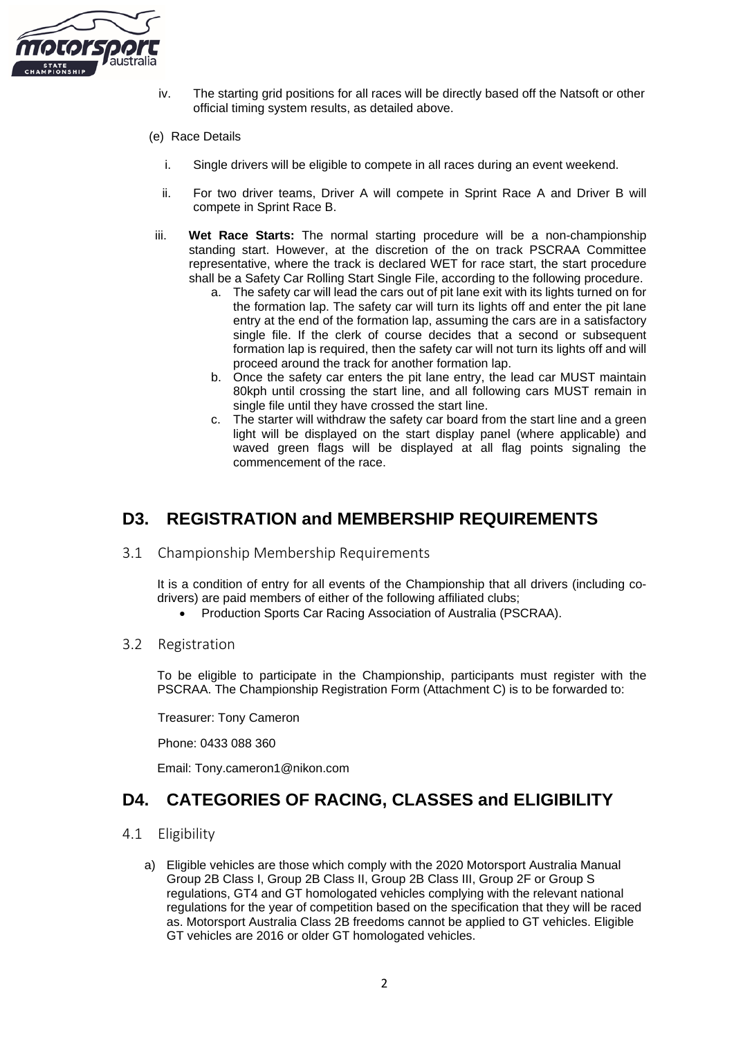

- iv. The starting grid positions for all races will be directly based off the Natsoft or other official timing system results, as detailed above.
- (e) Race Details
	- i. Single drivers will be eligible to compete in all races during an event weekend.
	- ii. For two driver teams, Driver A will compete in Sprint Race A and Driver B will compete in Sprint Race B.
- iii. **Wet Race Starts:** The normal starting procedure will be a non-championship standing start. However, at the discretion of the on track PSCRAA Committee representative, where the track is declared WET for race start, the start procedure shall be a Safety Car Rolling Start Single File, according to the following procedure.
	- a. The safety car will lead the cars out of pit lane exit with its lights turned on for the formation lap. The safety car will turn its lights off and enter the pit lane entry at the end of the formation lap, assuming the cars are in a satisfactory single file. If the clerk of course decides that a second or subsequent formation lap is required, then the safety car will not turn its lights off and will proceed around the track for another formation lap.
	- b. Once the safety car enters the pit lane entry, the lead car MUST maintain 80kph until crossing the start line, and all following cars MUST remain in single file until they have crossed the start line.
	- c. The starter will withdraw the safety car board from the start line and a green light will be displayed on the start display panel (where applicable) and waved green flags will be displayed at all flag points signaling the commencement of the race.

## <span id="page-3-0"></span>**D3. REGISTRATION and MEMBERSHIP REQUIREMENTS**

<span id="page-3-1"></span>3.1 Championship Membership Requirements

It is a condition of entry for all events of the Championship that all drivers (including codrivers) are paid members of either of the following affiliated clubs;

- Production Sports Car Racing Association of Australia (PSCRAA).
- <span id="page-3-2"></span>3.2 Registration

To be eligible to participate in the Championship, participants must register with the PSCRAA. The Championship Registration Form (Attachment C) is to be forwarded to:

Treasurer: Tony Cameron

Phone: 0433 088 360

Email: Tony.cameron1@nikon.com

### <span id="page-3-3"></span>**D4. CATEGORIES OF RACING, CLASSES and ELIGIBILITY**

- <span id="page-3-4"></span>4.1 Eligibility
	- a) Eligible vehicles are those which comply with the 2020 Motorsport Australia Manual Group 2B Class I, Group 2B Class II, Group 2B Class III, Group 2F or Group S regulations, GT4 and GT homologated vehicles complying with the relevant national regulations for the year of competition based on the specification that they will be raced as. Motorsport Australia Class 2B freedoms cannot be applied to GT vehicles. Eligible GT vehicles are 2016 or older GT homologated vehicles.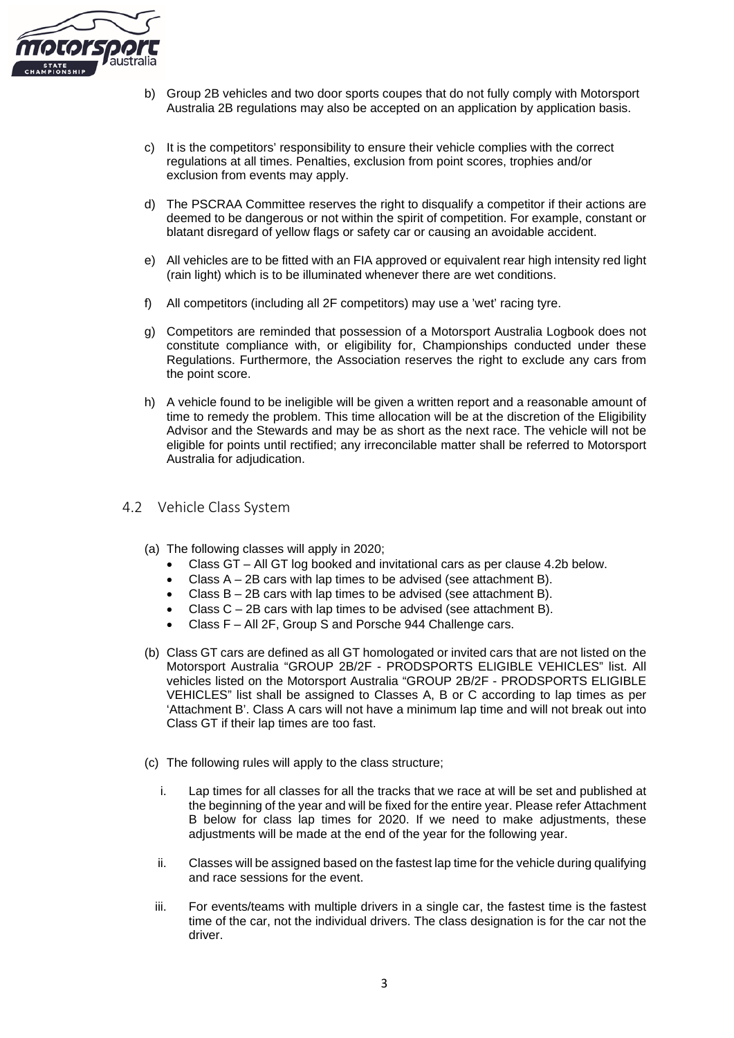

- b) Group 2B vehicles and two door sports coupes that do not fully comply with Motorsport Australia 2B regulations may also be accepted on an application by application basis.
- c) It is the competitors' responsibility to ensure their vehicle complies with the correct regulations at all times. Penalties, exclusion from point scores, trophies and/or exclusion from events may apply.
- d) The PSCRAA Committee reserves the right to disqualify a competitor if their actions are deemed to be dangerous or not within the spirit of competition. For example, constant or blatant disregard of yellow flags or safety car or causing an avoidable accident.
- e) All vehicles are to be fitted with an FIA approved or equivalent rear high intensity red light (rain light) which is to be illuminated whenever there are wet conditions.
- f) All competitors (including all 2F competitors) may use a 'wet' racing tyre.
- g) Competitors are reminded that possession of a Motorsport Australia Logbook does not constitute compliance with, or eligibility for, Championships conducted under these Regulations. Furthermore, the Association reserves the right to exclude any cars from the point score.
- h) A vehicle found to be ineligible will be given a written report and a reasonable amount of time to remedy the problem. This time allocation will be at the discretion of the Eligibility Advisor and the Stewards and may be as short as the next race. The vehicle will not be eligible for points until rectified; any irreconcilable matter shall be referred to Motorsport Australia for adjudication.

#### <span id="page-4-0"></span>4.2 Vehicle Class System

- (a) The following classes will apply in 2020;
	- Class GT All GT log booked and invitational cars as per clause 4.2b below.
	- Class  $A 2B$  cars with lap times to be advised (see attachment B).
	- Class  $B 2B$  cars with lap times to be advised (see attachment B).
	- Class  $C 2B$  cars with lap times to be advised (see attachment B).
	- Class F All 2F, Group S and Porsche 944 Challenge cars.
- (b) Class GT cars are defined as all GT homologated or invited cars that are not listed on the Motorsport Australia "GROUP 2B/2F - PRODSPORTS ELIGIBLE VEHICLES" list. All vehicles listed on the Motorsport Australia "GROUP 2B/2F - PRODSPORTS ELIGIBLE VEHICLES" list shall be assigned to Classes A, B or C according to lap times as per 'Attachment B'. Class A cars will not have a minimum lap time and will not break out into Class GT if their lap times are too fast.
- (c) The following rules will apply to the class structure;
	- i. Lap times for all classes for all the tracks that we race at will be set and published at the beginning of the year and will be fixed for the entire year. Please refer Attachment B below for class lap times for 2020. If we need to make adjustments, these adjustments will be made at the end of the year for the following year.
	- ii. Classes will be assigned based on the fastest lap time for the vehicle during qualifying and race sessions for the event.
	- iii. For events/teams with multiple drivers in a single car, the fastest time is the fastest time of the car, not the individual drivers. The class designation is for the car not the driver.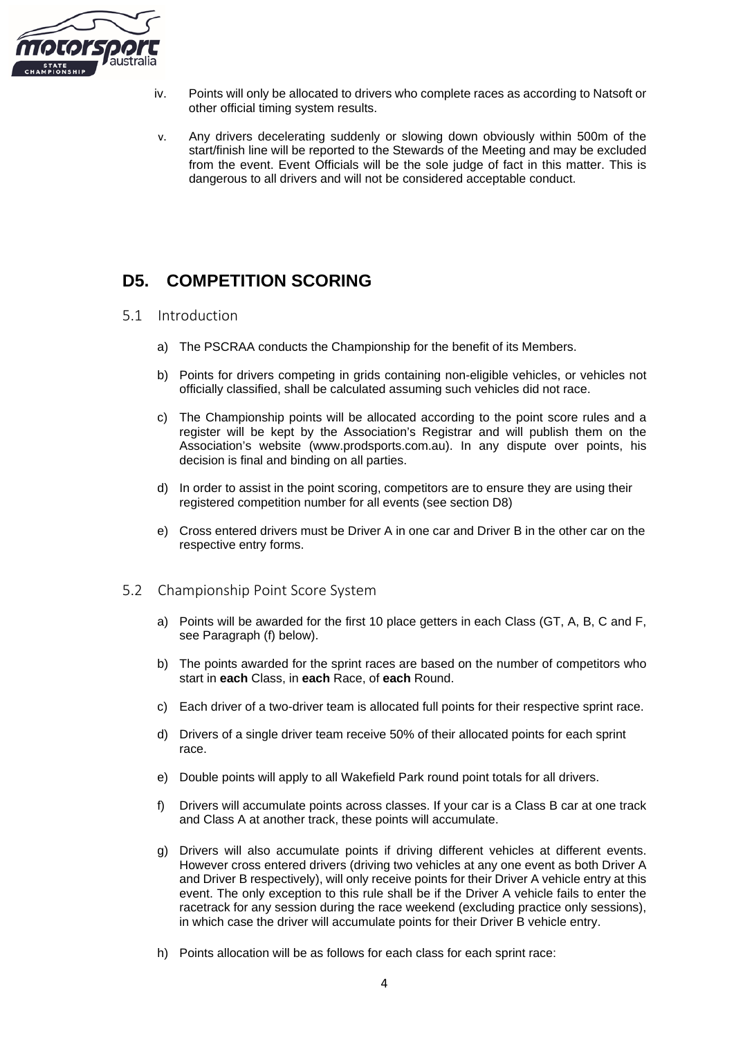

- iv. Points will only be allocated to drivers who complete races as according to Natsoft or other official timing system results.
- v. Any drivers decelerating suddenly or slowing down obviously within 500m of the start/finish line will be reported to the Stewards of the Meeting and may be excluded from the event. Event Officials will be the sole judge of fact in this matter. This is dangerous to all drivers and will not be considered acceptable conduct.

## <span id="page-5-0"></span>**D5. COMPETITION SCORING**

- <span id="page-5-1"></span>5.1 Introduction
	- a) The PSCRAA conducts the Championship for the benefit of its Members.
	- b) Points for drivers competing in grids containing non-eligible vehicles, or vehicles not officially classified, shall be calculated assuming such vehicles did not race.
	- c) The Championship points will be allocated according to the point score rules and a register will be kept by the Association's Registrar and will publish them on the Association's website (www.prodsports.com.au). In any dispute over points, his decision is final and binding on all parties.
	- d) In order to assist in the point scoring, competitors are to ensure they are using their registered competition number for all events (see section D8)
	- e) Cross entered drivers must be Driver A in one car and Driver B in the other car on the respective entry forms.
- <span id="page-5-2"></span>5.2 Championship Point Score System
	- a) Points will be awarded for the first 10 place getters in each Class (GT, A, B, C and F, see Paragraph (f) below).
	- b) The points awarded for the sprint races are based on the number of competitors who start in **each** Class, in **each** Race, of **each** Round.
	- c) Each driver of a two-driver team is allocated full points for their respective sprint race.
	- d) Drivers of a single driver team receive 50% of their allocated points for each sprint race.
	- e) Double points will apply to all Wakefield Park round point totals for all drivers.
	- f) Drivers will accumulate points across classes. If your car is a Class B car at one track and Class A at another track, these points will accumulate.
	- g) Drivers will also accumulate points if driving different vehicles at different events. However cross entered drivers (driving two vehicles at any one event as both Driver A and Driver B respectively), will only receive points for their Driver A vehicle entry at this event. The only exception to this rule shall be if the Driver A vehicle fails to enter the racetrack for any session during the race weekend (excluding practice only sessions), in which case the driver will accumulate points for their Driver B vehicle entry.
	- h) Points allocation will be as follows for each class for each sprint race: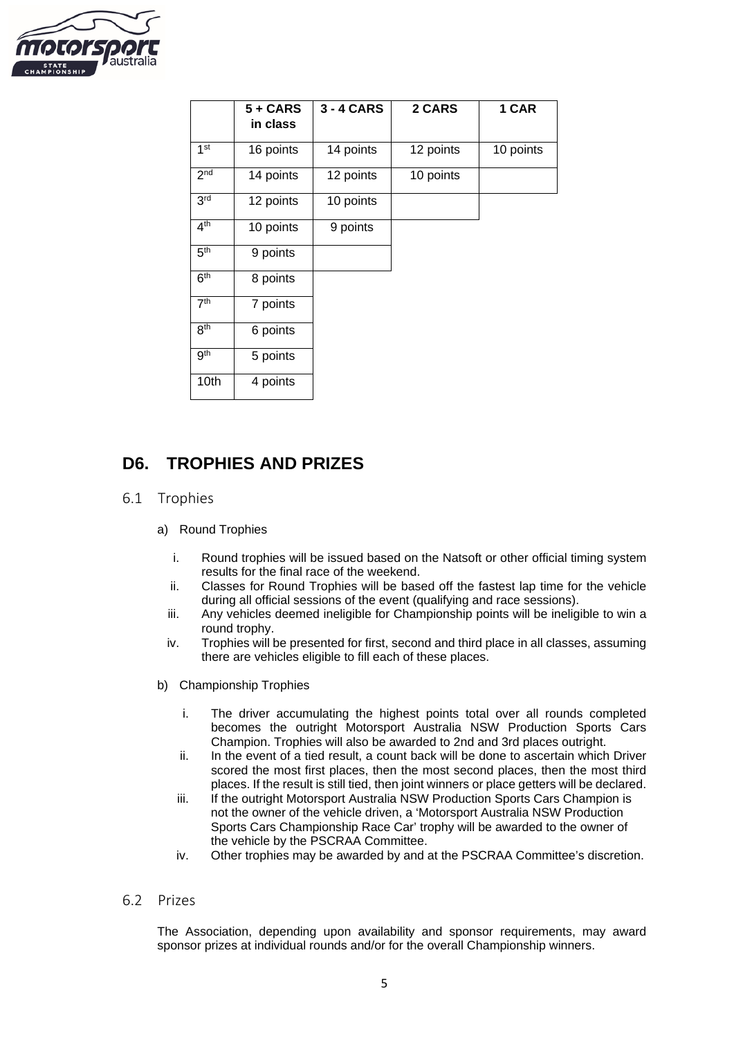

|                 | $5 + CARS$<br>in class | 3 - 4 CARS | 2 CARS    | 1 CAR     |
|-----------------|------------------------|------------|-----------|-----------|
| 1 <sup>st</sup> | 16 points              | 14 points  | 12 points | 10 points |
| 2 <sup>nd</sup> | 14 points              | 12 points  | 10 points |           |
| 3 <sup>rd</sup> | 12 points              | 10 points  |           |           |
| 4 <sup>th</sup> | 10 points              | 9 points   |           |           |
| 5 <sup>th</sup> | 9 points               |            |           |           |
| 6 <sup>th</sup> | 8 points               |            |           |           |
| 7 <sup>th</sup> | 7 points               |            |           |           |
| 8 <sup>th</sup> | 6 points               |            |           |           |
| <b>gth</b>      | 5 points               |            |           |           |
| 10th            | 4 points               |            |           |           |

## <span id="page-6-0"></span>**D6. TROPHIES AND PRIZES**

- <span id="page-6-1"></span>6.1 Trophies
	- a) Round Trophies
		- i. Round trophies will be issued based on the Natsoft or other official timing system results for the final race of the weekend.
		- ii. Classes for Round Trophies will be based off the fastest lap time for the vehicle during all official sessions of the event (qualifying and race sessions).
		- iii. Any vehicles deemed ineligible for Championship points will be ineligible to win a round trophy.
		- iv. Trophies will be presented for first, second and third place in all classes, assuming there are vehicles eligible to fill each of these places.
	- b) Championship Trophies
		- i. The driver accumulating the highest points total over all rounds completed becomes the outright Motorsport Australia NSW Production Sports Cars Champion. Trophies will also be awarded to 2nd and 3rd places outright.
		- ii. In the event of a tied result, a count back will be done to ascertain which Driver scored the most first places, then the most second places, then the most third places. If the result is still tied, then joint winners or place getters will be declared.
		- iii. If the outright Motorsport Australia NSW Production Sports Cars Champion is not the owner of the vehicle driven, a 'Motorsport Australia NSW Production Sports Cars Championship Race Car' trophy will be awarded to the owner of the vehicle by the PSCRAA Committee.
		- iv. Other trophies may be awarded by and at the PSCRAA Committee's discretion.
- <span id="page-6-2"></span>6.2 Prizes

The Association, depending upon availability and sponsor requirements, may award sponsor prizes at individual rounds and/or for the overall Championship winners.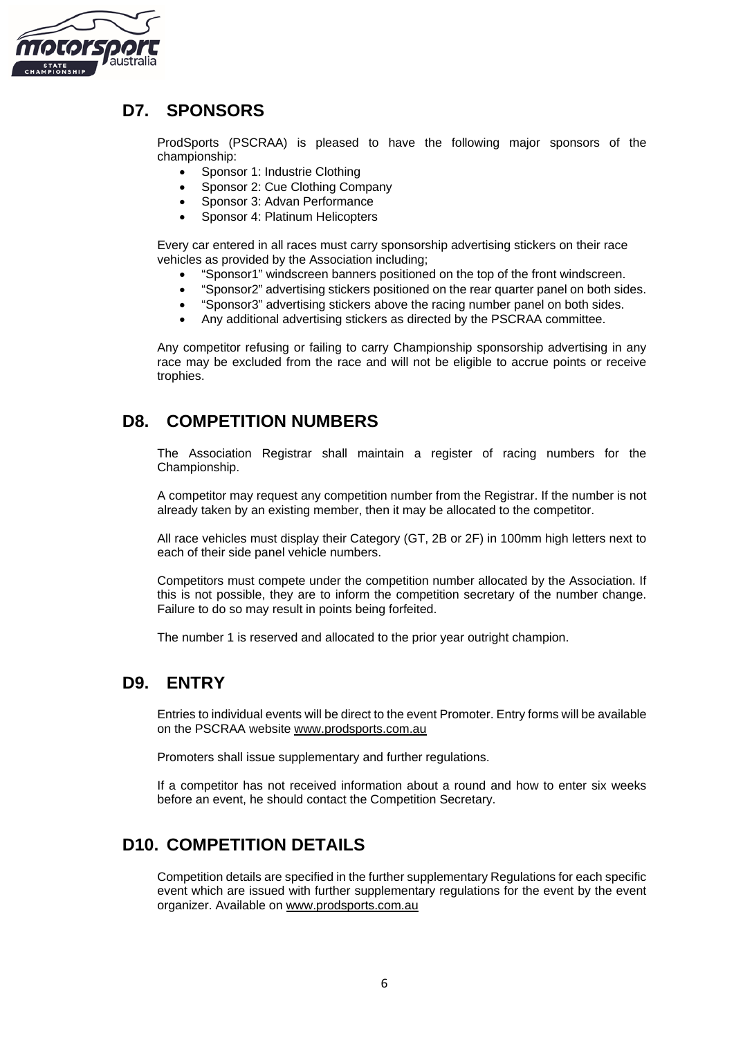

## <span id="page-7-0"></span>**D7. SPONSORS**

ProdSports (PSCRAA) is pleased to have the following major sponsors of the championship:

- Sponsor 1: Industrie Clothing
- Sponsor 2: Cue Clothing Company
- Sponsor 3: Advan Performance
- Sponsor 4: Platinum Helicopters

Every car entered in all races must carry sponsorship advertising stickers on their race vehicles as provided by the Association including;

- "Sponsor1" windscreen banners positioned on the top of the front windscreen.
- "Sponsor2" advertising stickers positioned on the rear quarter panel on both sides.
- "Sponsor3" advertising stickers above the racing number panel on both sides.
- Any additional advertising stickers as directed by the PSCRAA committee.

Any competitor refusing or failing to carry Championship sponsorship advertising in any race may be excluded from the race and will not be eligible to accrue points or receive trophies.

### <span id="page-7-1"></span>**D8. COMPETITION NUMBERS**

The Association Registrar shall maintain a register of racing numbers for the Championship.

A competitor may request any competition number from the Registrar. If the number is not already taken by an existing member, then it may be allocated to the competitor.

All race vehicles must display their Category (GT, 2B or 2F) in 100mm high letters next to each of their side panel vehicle numbers.

Competitors must compete under the competition number allocated by the Association. If this is not possible, they are to inform the competition secretary of the number change. Failure to do so may result in points being forfeited.

The number 1 is reserved and allocated to the prior year outright champion.

#### <span id="page-7-2"></span>**D9. ENTRY**

Entries to individual events will be direct to the event Promoter. Entry forms will be available on the PSCRAA website [www.prodsports.com.au](http://www.prodsports.com.au/)

Promoters shall issue supplementary and further regulations.

If a competitor has not received information about a round and how to enter six weeks before an event, he should contact the Competition Secretary.

### <span id="page-7-3"></span>**D10. COMPETITION DETAILS**

Competition details are specified in the further supplementary Regulations for each specific event which are issued with further supplementary regulations for the event by the event organizer. Available on [www.prodsports.com.au](http://www.prodsports.com.au/)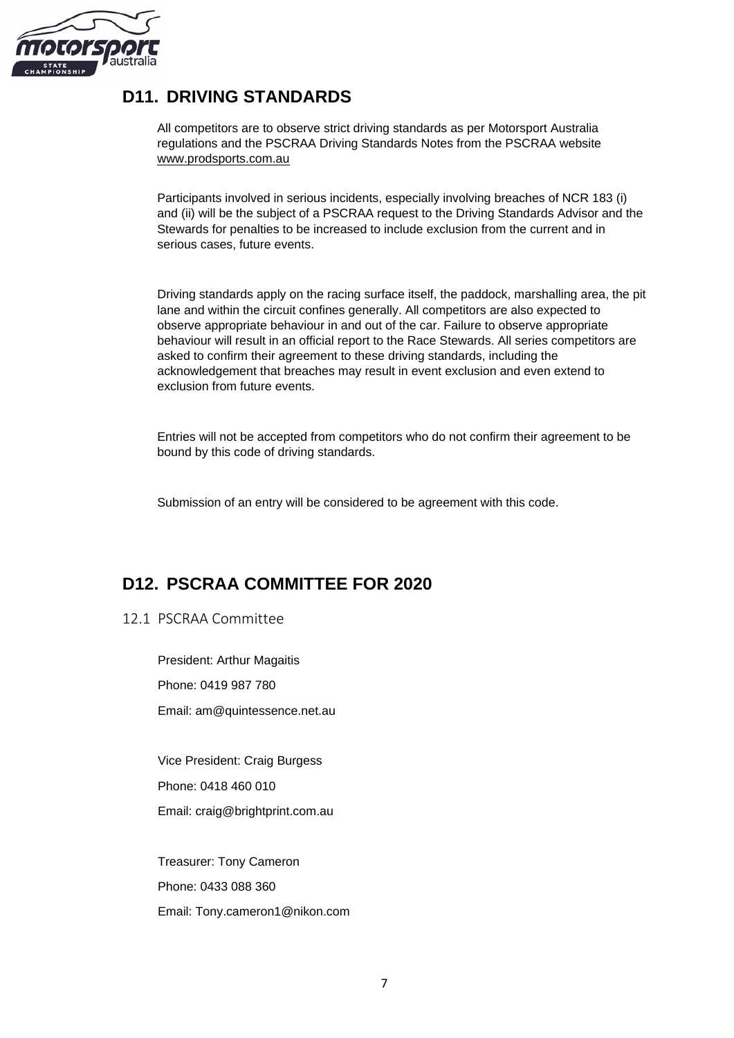

## <span id="page-8-0"></span>**D11. DRIVING STANDARDS**

All competitors are to observe strict driving standards as per Motorsport Australia regulations and the PSCRAA Driving Standards Notes from the PSCRAA website [www.prodsports.com.au](http://www.prodsports.com.au/)

Participants involved in serious incidents, especially involving breaches of NCR 183 (i) and (ii) will be the subject of a PSCRAA request to the Driving Standards Advisor and the Stewards for penalties to be increased to include exclusion from the current and in serious cases, future events.

Driving standards apply on the racing surface itself, the paddock, marshalling area, the pit lane and within the circuit confines generally. All competitors are also expected to observe appropriate behaviour in and out of the car. Failure to observe appropriate behaviour will result in an official report to the Race Stewards. All series competitors are asked to confirm their agreement to these driving standards, including the acknowledgement that breaches may result in event exclusion and even extend to exclusion from future events.

Entries will not be accepted from competitors who do not confirm their agreement to be bound by this code of driving standards.

Submission of an entry will be considered to be agreement with this code.

## <span id="page-8-1"></span>**D12. PSCRAA COMMITTEE FOR 2020**

<span id="page-8-2"></span>12.1 PSCRAA Committee

President: Arthur Magaitis Phone: 0419 987 780 Email: am@quintessence.net.au

Vice President: Craig Burgess Phone: 0418 460 010 Email: craig@brightprint.com.au

Treasurer: Tony Cameron Phone: 0433 088 360 Email: Tony.cameron1@nikon.com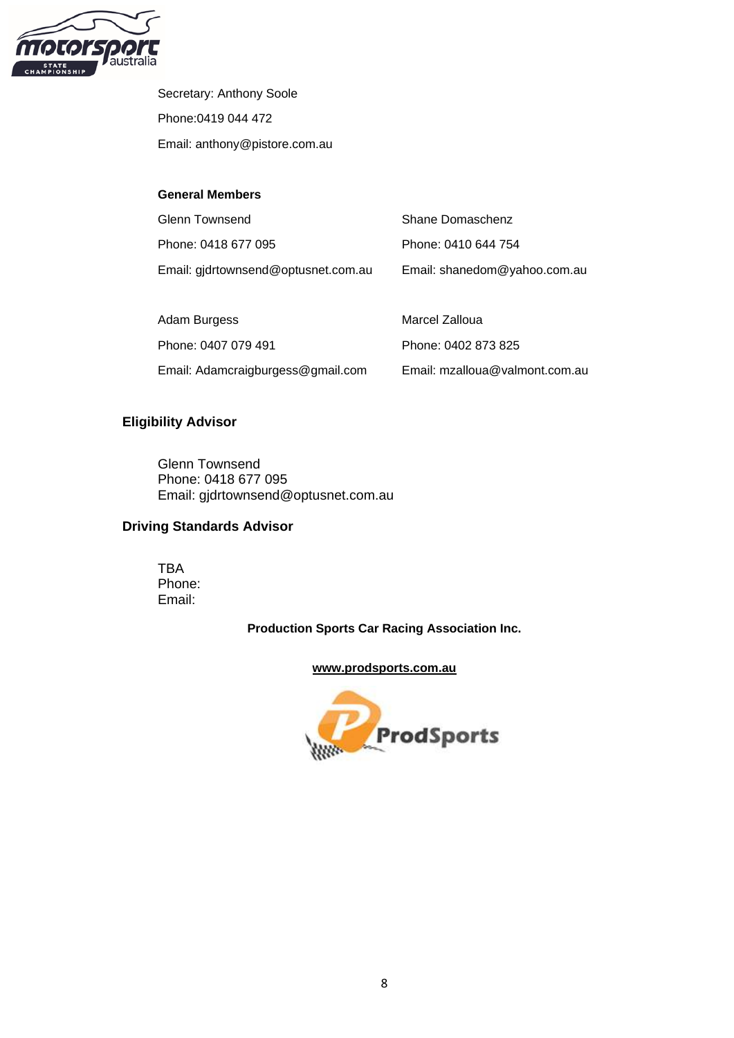

Secretary: Anthony Soole Phone:0419 044 472 Email: anthony@pistore.com.au

#### **General Members**

| <b>Glenn Townsend</b>               | Shane Domaschenz               |
|-------------------------------------|--------------------------------|
| Phone: 0418 677 095                 | Phone: 0410 644 754            |
| Email: gjdrtownsend@optusnet.com.au | Email: shanedom@yahoo.com.au   |
|                                     |                                |
| Adam Burgess                        | Marcel Zalloua                 |
| Phone: 0407 079 491                 | Phone: 0402 873 825            |
| Email: Adamcraigburgess@gmail.com   | Email: mzalloua@valmont.com.au |

#### **Eligibility Advisor**

Glenn Townsend Phone: 0418 677 095 Email: gjdrtownsend@optusnet.com.au

#### **Driving Standards Advisor**

TBA Phone: Email:

**Production Sports Car Racing Association Inc.**

#### **[www.prodsports.com.au](http://www.prodsports.com.au/)**

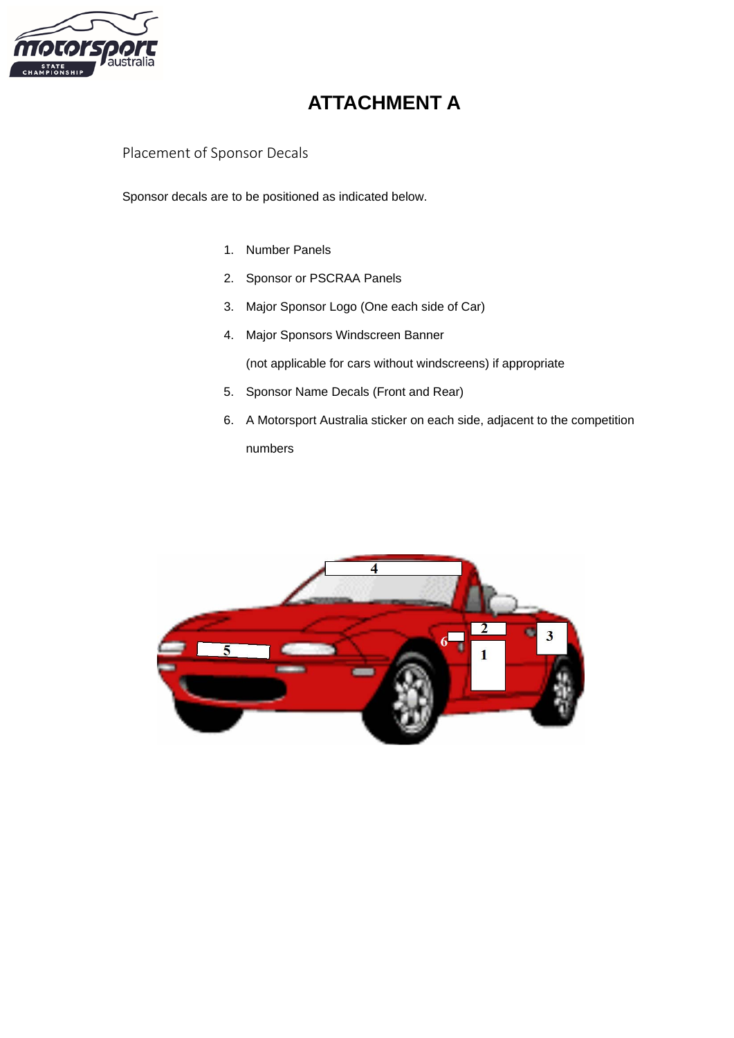

## **ATTACHMENT A**

<span id="page-10-1"></span><span id="page-10-0"></span>Placement of Sponsor Decals

Sponsor decals are to be positioned as indicated below.

- 1. Number Panels
- 2. Sponsor or PSCRAA Panels
- 3. Major Sponsor Logo (One each side of Car)
- 4. Major Sponsors Windscreen Banner

(not applicable for cars without windscreens) if appropriate

- 5. Sponsor Name Decals (Front and Rear)
- 6. A Motorsport Australia sticker on each side, adjacent to the competition numbers

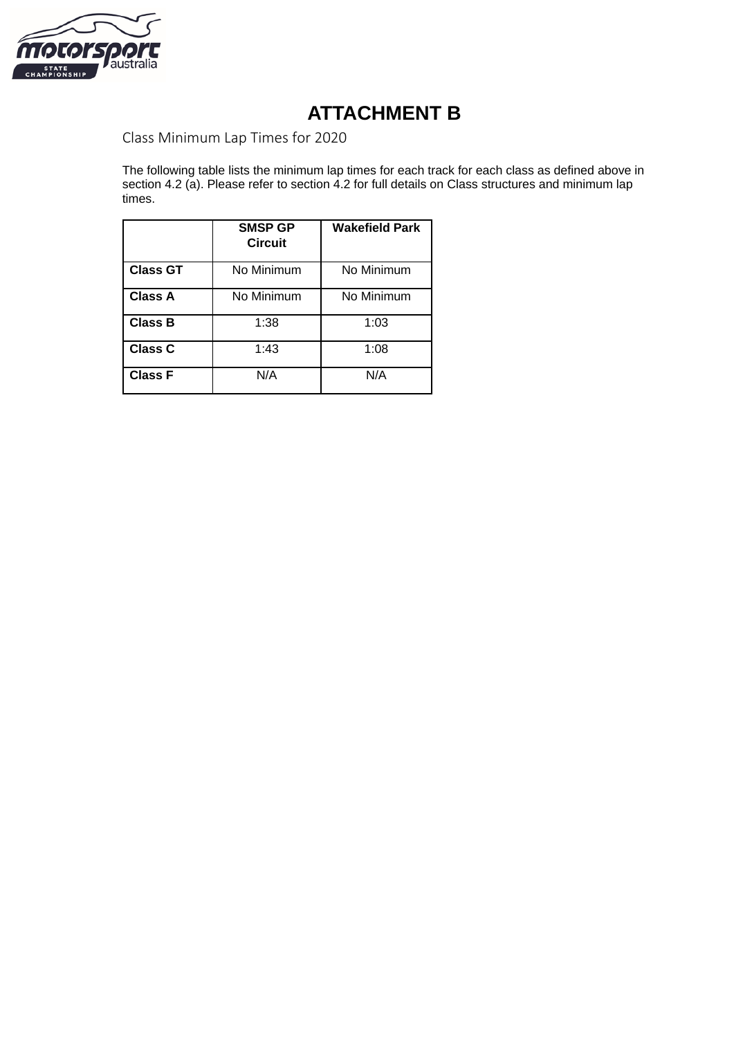

## **ATTACHMENT B**

<span id="page-11-1"></span><span id="page-11-0"></span>Class Minimum Lap Times for 2020

The following table lists the minimum lap times for each track for each class as defined above in section 4.2 (a). Please refer to section 4.2 for full details on Class structures and minimum lap times.

|                 | <b>SMSP GP</b><br><b>Circuit</b> | <b>Wakefield Park</b> |  |
|-----------------|----------------------------------|-----------------------|--|
| <b>Class GT</b> | No Minimum                       | No Minimum            |  |
| <b>Class A</b>  | No Minimum                       | No Minimum            |  |
| <b>Class B</b>  | 1:38                             | 1:03                  |  |
| Class C         | 1:43                             | 1:08                  |  |
| <b>Class F</b>  | N/A                              | N/A                   |  |